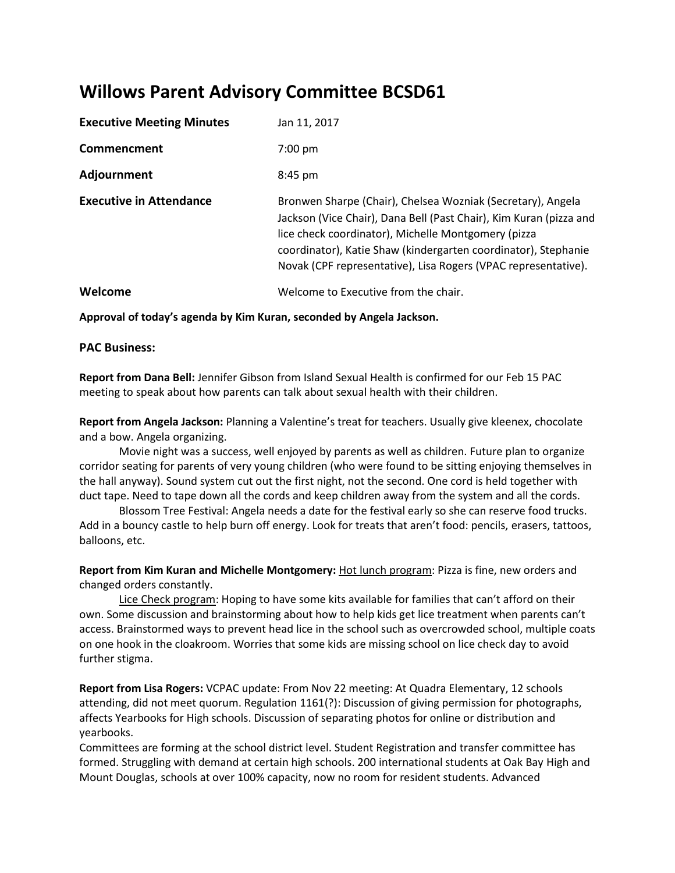## **Willows Parent Advisory Committee BCSD61**

| <b>Executive Meeting Minutes</b> | Jan 11, 2017                                                                                                                                                                                                                                                                                                                 |
|----------------------------------|------------------------------------------------------------------------------------------------------------------------------------------------------------------------------------------------------------------------------------------------------------------------------------------------------------------------------|
| Commencment                      | $7:00$ pm                                                                                                                                                                                                                                                                                                                    |
| Adjournment                      | $8:45$ pm                                                                                                                                                                                                                                                                                                                    |
| <b>Executive in Attendance</b>   | Bronwen Sharpe (Chair), Chelsea Wozniak (Secretary), Angela<br>Jackson (Vice Chair), Dana Bell (Past Chair), Kim Kuran (pizza and<br>lice check coordinator), Michelle Montgomery (pizza<br>coordinator), Katie Shaw (kindergarten coordinator), Stephanie<br>Novak (CPF representative), Lisa Rogers (VPAC representative). |
| Welcome                          | Welcome to Executive from the chair.                                                                                                                                                                                                                                                                                         |

**Approval of today's agenda by Kim Kuran, seconded by Angela Jackson.**

## **PAC Business:**

**Report from Dana Bell:** Jennifer Gibson from Island Sexual Health is confirmed for our Feb 15 PAC meeting to speak about how parents can talk about sexual health with their children.

**Report from Angela Jackson:** Planning a Valentine's treat for teachers. Usually give kleenex, chocolate and a bow. Angela organizing.

Movie night was a success, well enjoyed by parents as well as children. Future plan to organize corridor seating for parents of very young children (who were found to be sitting enjoying themselves in the hall anyway). Sound system cut out the first night, not the second. One cord is held together with duct tape. Need to tape down all the cords and keep children away from the system and all the cords.

Blossom Tree Festival: Angela needs a date for the festival early so she can reserve food trucks. Add in a bouncy castle to help burn off energy. Look for treats that aren't food: pencils, erasers, tattoos, balloons, etc.

**Report from Kim Kuran and Michelle Montgomery:** Hot lunch program: Pizza is fine, new orders and changed orders constantly.

Lice Check program: Hoping to have some kits available for families that can't afford on their own. Some discussion and brainstorming about how to help kids get lice treatment when parents can't access. Brainstormed ways to prevent head lice in the school such as overcrowded school, multiple coats on one hook in the cloakroom. Worries that some kids are missing school on lice check day to avoid further stigma.

**Report from Lisa Rogers:** VCPAC update: From Nov 22 meeting: At Quadra Elementary, 12 schools attending, did not meet quorum. Regulation 1161(?): Discussion of giving permission for photographs, affects Yearbooks for High schools. Discussion of separating photos for online or distribution and yearbooks.

Committees are forming at the school district level. Student Registration and transfer committee has formed. Struggling with demand at certain high schools. 200 international students at Oak Bay High and Mount Douglas, schools at over 100% capacity, now no room for resident students. Advanced